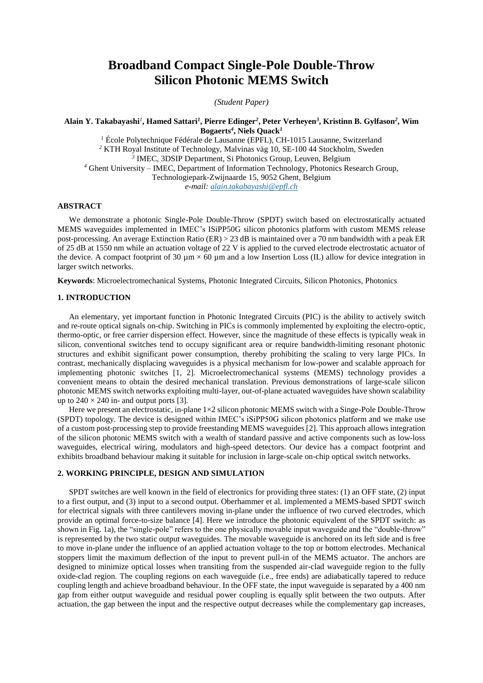# **Broadband Compact Single-Pole Double-Throw Silicon Photonic MEMS Switch**

*(Student Paper)*

# **Alain Y. Takabayashi***<sup>1</sup>* **, Hamed Sattari***<sup>1</sup>* **, Pierre Edinger***<sup>2</sup>* **, Peter Verheyen***<sup>3</sup>* **, Kristinn B. Gylfason***<sup>2</sup>* **, Wim Bogaerts***<sup>4</sup>* **, Niels Quack***<sup>1</sup>*

 École Polytechnique Fédérale de Lausanne (EPFL), CH-1015 Lausanne, Switzerland KTH Royal Institute of Technology, Malvinas väg 10, SE-100 44 Stockholm, Sweden IMEC, 3DSIP Department, Si Photonics Group, Leuven, Belgium Ghent University – IMEC, Department of Information Technology, Photonics Research Group, Technologiepark-Zwijnaarde 15, 9052 Ghent, Belgium *e-mail[: alain.takabayashi@epfl.ch](mailto:alain.takabayashi@epfl.ch)*

# **ABSTRACT**

We demonstrate a photonic Single-Pole Double-Throw (SPDT) switch based on electrostatically actuated MEMS waveguides implemented in IMEC's ISiPP50G silicon photonics platform with custom MEMS release post-processing. An average Extinction Ratio (ER) > 23 dB is maintained over a 70 nm bandwidth with a peak ER of 25 dB at 1550 nm while an actuation voltage of 22 V is applied to the curved electrode electrostatic actuator of the device. A compact footprint of 30  $\mu$ m  $\times$  60  $\mu$ m and a low Insertion Loss (IL) allow for device integration in larger switch networks.

**Keywords**: Microelectromechanical Systems, Photonic Integrated Circuits, Silicon Photonics, Photonics

### **1. INTRODUCTION**

An elementary, yet important function in Photonic Integrated Circuits (PIC) is the ability to actively switch and re-route optical signals on-chip. Switching in PICs is commonly implemented by exploiting the electro-optic, thermo-optic, or free carrier dispersion effect. However, since the magnitude of these effects is typically weak in silicon, conventional switches tend to occupy significant area or require bandwidth-limiting resonant photonic structures and exhibit significant power consumption, thereby prohibiting the scaling to very large PICs. In contrast, mechanically displacing waveguides is a physical mechanism for low-power and scalable approach for implementing photonic switches [1, 2]. Microelectromechanical systems (MEMS) technology provides a convenient means to obtain the desired mechanical translation. Previous demonstrations of large-scale silicon photonic MEMS switch networks exploiting multi-layer, out-of-plane actuated waveguides have shown scalability up to  $240 \times 240$  in- and output ports [3].

Here we present an electrostatic, in-plane  $1\times 2$  silicon photonic MEMS switch with a Singe-Pole Double-Throw (SPDT) topology. The device is designed within IMEC's iSiPP50G silicon photonics platform and we make use of a custom post-processing step to provide freestanding MEMS waveguides [2]. This approach allows integration of the silicon photonic MEMS switch with a wealth of standard passive and active components such as low-loss waveguides, electrical wiring, modulators and high-speed detectors. Our device has a compact footprint and exhibits broadband behaviour making it suitable for inclusion in large-scale on-chip optical switch networks.

## **2. WORKING PRINCIPLE, DESIGN AND SIMULATION**

SPDT switches are well known in the field of electronics for providing three states: (1) an OFF state, (2) input to a first output, and (3) input to a second output. Oberhammer et al. implemented a MEMS-based SPDT switch for electrical signals with three cantilevers moving in-plane under the influence of two curved electrodes, which provide an optimal force-to-size balance [4]. Here we introduce the photonic equivalent of the SPDT switch: as shown in Fig. 1a), the "single-pole" refers to the one physically movable input waveguide and the "double-throw" is represented by the two static output waveguides. The movable waveguide is anchored on its left side and is free to move in-plane under the influence of an applied actuation voltage to the top or bottom electrodes. Mechanical stoppers limit the maximum deflection of the input to prevent pull-in of the MEMS actuator. The anchors are designed to minimize optical losses when transiting from the suspended air-clad waveguide region to the fully oxide-clad region. The coupling regions on each waveguide (i.e., free ends) are adiabatically tapered to reduce coupling length and achieve broadband behaviour. In the OFF state, the input waveguide is separated by a 400 nm gap from either output waveguide and residual power coupling is equally split between the two outputs. After actuation, the gap between the input and the respective output decreases while the complementary gap increases,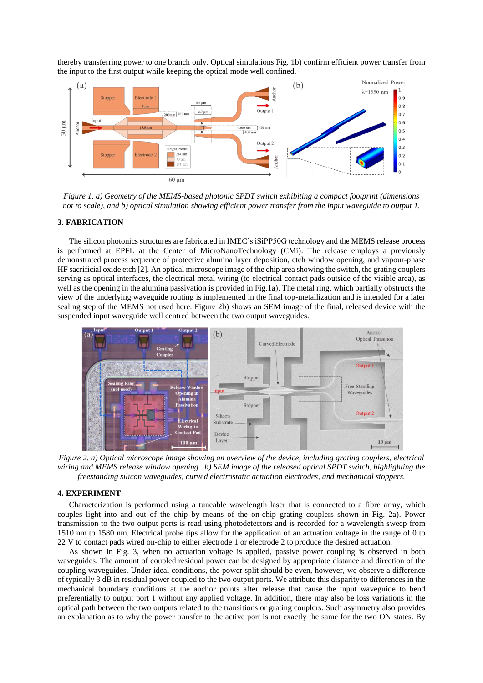thereby transferring power to one branch only. Optical simulations Fig. 1b) confirm efficient power transfer from the input to the first output while keeping the optical mode well confined.



*Figure 1. a) Geometry of the MEMS-based photonic SPDT switch exhibiting a compact footprint (dimensions not to scale), and b) optical simulation showing efficient power transfer from the input waveguide to output 1.* 

#### **3. FABRICATION**

The silicon photonics structures are fabricated in IMEC's iSiPP50G technology and the MEMS release process is performed at EPFL at the Center of MicroNanoTechnology (CMi). The release employs a previously demonstrated process sequence of protective alumina layer deposition, etch window opening, and vapour-phase HF sacrificial oxide etch [2]. An optical microscope image of the chip area showing the switch, the grating couplers serving as optical interfaces, the electrical metal wiring (to electrical contact pads outside of the visible area), as well as the opening in the alumina passivation is provided in Fig.1a). The metal ring, which partially obstructs the view of the underlying waveguide routing is implemented in the final top-metallization and is intended for a later sealing step of the MEMS not used here. Figure 2b) shows an SEM image of the final, released device with the suspended input waveguide well centred between the two output waveguides.



*Figure 2. a) Optical microscope image showing an overview of the device, including grating couplers, electrical wiring and MEMS release window opening. b) SEM image of the released optical SPDT switch, highlighting the freestanding silicon waveguides, curved electrostatic actuation electrodes, and mechanical stoppers.*

#### **4. EXPERIMENT**

Characterization is performed using a tuneable wavelength laser that is connected to a fibre array, which couples light into and out of the chip by means of the on-chip grating couplers shown in Fig. 2a). Power transmission to the two output ports is read using photodetectors and is recorded for a wavelength sweep from 1510 nm to 1580 nm. Electrical probe tips allow for the application of an actuation voltage in the range of 0 to 22 V to contact pads wired on-chip to either electrode 1 or electrode 2 to produce the desired actuation.

As shown in Fig. 3, when no actuation voltage is applied, passive power coupling is observed in both waveguides. The amount of coupled residual power can be designed by appropriate distance and direction of the coupling waveguides. Under ideal conditions, the power split should be even, however, we observe a difference of typically 3 dB in residual power coupled to the two output ports. We attribute this disparity to differences in the mechanical boundary conditions at the anchor points after release that cause the input waveguide to bend preferentially to output port 1 without any applied voltage. In addition, there may also be loss variations in the optical path between the two outputs related to the transitions or grating couplers. Such asymmetry also provides an explanation as to why the power transfer to the active port is not exactly the same for the two ON states. By